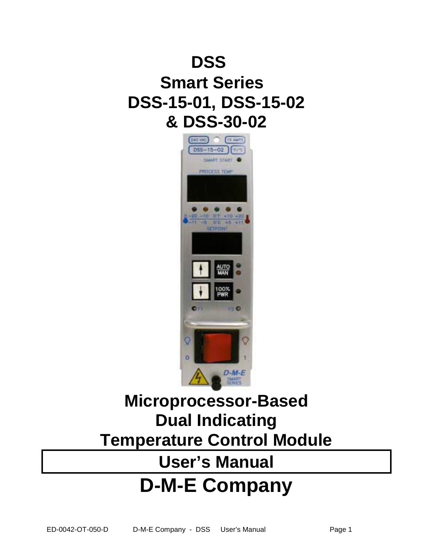# **DSSTM Smart Series DSS-15-01, DSS-15-02 & DSS-30-02**



# **Microprocessor-Based Dual Indicating Temperature Control Module**

# **User's Manual D-M-E Company**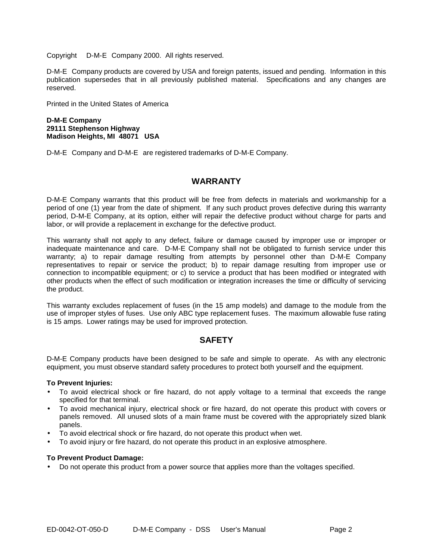Copyright  $\odot$  D-M-E<sup>®</sup> Company 2000. All rights reserved.

D-M-E<sup>®</sup> Company products are covered by USA and foreign patents, issued and pending. Information in this publication supersedes that in all previously published material. Specifications and any changes are reserved.

Printed in the United States of America

#### **D-M-E Company 29111 Stephenson Highway Madison Heights, MI 48071 USA**

D-M-E<sup>®</sup> Company and D-M-E<sup>®</sup> are registered trademarks of D-M-E Company.

# **WARRANTY**

D-M-E Company warrants that this product will be free from defects in materials and workmanship for a period of one (1) year from the date of shipment. If any such product proves defective during this warranty period, D-M-E Company, at its option, either will repair the defective product without charge for parts and labor, or will provide a replacement in exchange for the defective product.

This warranty shall not apply to any defect, failure or damage caused by improper use or improper or inadequate maintenance and care. D-M-E Company shall not be obligated to furnish service under this warranty; a) to repair damage resulting from attempts by personnel other than D-M-E Company representatives to repair or service the product; b) to repair damage resulting from improper use or connection to incompatible equipment; or c) to service a product that has been modified or integrated with other products when the effect of such modification or integration increases the time or difficulty of servicing the product.

This warranty excludes replacement of fuses (in the 15 amp models) and damage to the module from the use of improper styles of fuses. Use only ABC type replacement fuses. The maximum allowable fuse rating is 15 amps. Lower ratings may be used for improved protection.

# **SAFETY**

D-M-E Company products have been designed to be safe and simple to operate. As with any electronic equipment, you must observe standard safety procedures to protect both yourself and the equipment.

## **To Prevent Injuries:**

- To avoid electrical shock or fire hazard, do not apply voltage to a terminal that exceeds the range specified for that terminal.
- To avoid mechanical injury, electrical shock or fire hazard, do not operate this product with covers or panels removed. All unused slots of a main frame must be covered with the appropriately sized blank panels.
- To avoid electrical shock or fire hazard, do not operate this product when wet.
- To avoid injury or fire hazard, do not operate this product in an explosive atmosphere.

## **To Prevent Product Damage:**

• Do not operate this product from a power source that applies more than the voltages specified.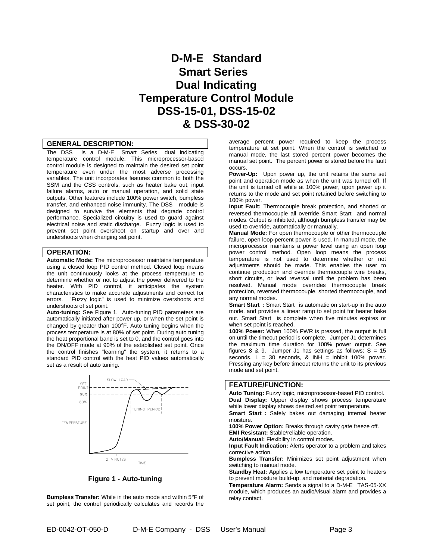# **D-M-E Standard Smart Series Dual Indicating Temperature Control Module DSS-15-01, DSS-15-02 & DSS-30-02**

#### **GENERAL DESCRIPTION:**

The DSS<sup>TM</sup> is a D-M-E<sup>®</sup> Smart Series<sup>®</sup> dual indicating temperature control module. This microprocessor-based control module is designed to maintain the desired set point temperature even under the most adverse processing variables. The unit incorporates features common to both the SSM and the CSS controls, such as heater bake out, input failure alarms, auto or manual operation, and solid state outputs. Other features include 100% power switch, bumpless transfer, and enhanced noise immunity. The DSS™ module is designed to survive the elements that degrade control performance. Specialized circuitry is used to guard against electrical noise and static discharge. Fuzzy logic is used to prevent set point overshoot on startup and over and undershoots when changing set point.

#### **OPERATION:**

**Automatic Mode:** The microprocessor maintains temperature using a closed loop PID control method. Closed loop means the unit continuously looks at the process temperature to determine whether or not to adjust the power delivered to the heater. With PID control, it anticipates the system characteristics to make accurate adjustments and correct for errors. "Fuzzy logic" is used to minimize overshoots and undershoots of set point.

**Auto-tuning:** See Figure 1. Auto-tuning PID parameters are automatically initiated after power up, or when the set point is changed by greater than 100°F. Auto tuning begins when the process temperature is at 80% of set point. During auto tuning the heat proportional band is set to 0, and the control goes into the ON/OFF mode at 90% of the established set point. Once the control finishes "learning" the system, it returns to a standard PID control with the heat PID values automatically set as a result of auto tuning.



**Figure 1 - Auto-tuning**

**Bumpless Transfer:** While in the auto mode and within 5°F of set point, the control periodically calculates and records the

average percent power required to keep the process temperature at set point. When the control is switched to manual mode, the last stored percent power becomes the manual set point. The percent power is stored before the fault occurs.

**Power-Up:** Upon power up, the unit retains the same set point and operation mode as when the unit was turned off. If the unit is turned off while at 100% power, upon power up it returns to the mode and set point retained before switching to 100% power.

**Input Fault:** Thermocouple break protection, and shorted or reversed thermocouple all override Smart Start<sup>®</sup> and normal modes. Output is inhibited, although bumpless transfer may be used to override, automatically or manually.

**Manual Mode:** For open thermocouple or other thermocouple failure, open loop-percent power is used. In manual mode, the microprocessor maintains a power level using an open loop power control method. Open loop means the process temperature is not used to determine whether or not adjustments should be made. This enables the user to continue production and override thermocouple wire breaks, short circuits, or lead reversal until the problem has been resolved. Manual mode overrides thermocouple break protection, reversed thermocouple, shorted thermocouple, and any normal modes.

**Smart Start<sup>®</sup>:** Smart Start<sup>®</sup> is automatic on start-up in the auto mode, and provides a linear ramp to set point for heater bake out. Smart Start® is complete when five minutes expires or when set point is reached.

**100% Power:** When 100% PWR is pressed, the output is full on until the timeout period is complete. Jumper J1 determines the maximum time duration for 100% power output. See figures  $8 \& 9$ . Jumper J1 has settings as follows:  $S = 15$ seconds,  $L = 30$  seconds, & INH = inhibit 100% power. Pressing any key before timeout returns the unit to its previous mode and set point.

#### **FEATURE/FUNCTION:**

**Auto Tuning:** Fuzzy logic, microprocessor-based PID control. **Dual Display:** Upper display shows process temperature while lower display shows desired set point temperature. **Smart Start:** Safely bakes out damaging internal heater moisture.

**100% Power Option:** Breaks through cavity gate freeze off. **EMI Resistant:** Stable/reliable operation.

**Auto/Manual:** Flexibility in control modes.

**Input Fault Indication:** Alerts operator to a problem and takes corrective action.

**Bumpless Transfer:** Minimizes set point adjustment when switching to manual mode.

**Standby Heat:** Applies a low temperature set point to heaters to prevent moisture build-up, and material degradation.

Temperature Alarm: Sends a signal to a D-M-E<sup>®</sup> TAS-05-XX module, which produces an audio/visual alarm and provides a relay contact.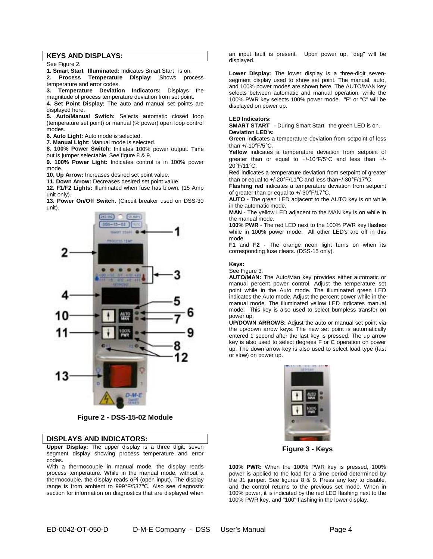#### **KEYS AND DISPLAYS:**

See Figure 2.

**1. Smart Start<sup>®</sup> Illuminated:** Indicates Smart Start<sup>®</sup> is on. **2. Process Temperature Display:** Shows process

temperature and error codes. **3. Temperature Deviation Indicators:** Displays the

magnitude of process temperature deviation from set point.

**4. Set Point Display:** The auto and manual set points are displayed here.

**5. Auto/Manual Switch:** Selects automatic closed loop (temperature set point) or manual (% power) open loop control modes.

**6. Auto Light:** Auto mode is selected.

**7. Manual Light:** Manual mode is selected.

**8. 100% Power Switch:** Initiates 100% power output. Time out is jumper selectable. See figure 8 & 9.

**9. 100% Power Light:** Indicates control is in 100% power mode.

**10. Up Arrow:** Increases desired set point value.

**11. Down Arrow:** Decreases desired set point value.

**12. F1/F2 Lights:** Illuminated when fuse has blown. (15 Amp unit only).

**13. Power On/Off Switch.** (Circuit breaker used on DSS-30 unit).



**Figure 2 - DSS-15-02 Module** 

#### **DISPLAYS AND INDICATORS:**

**Upper Display:** The upper display is a three digit, seven segment display showing process temperature and error codes.

With a thermocouple in manual mode, the display reads process temperature. While in the manual mode, without a thermocouple, the display reads oPi (open input). The display range is from ambient to 999°F/537°C. Also see diagnostic section for information on diagnostics that are displayed when an input fault is present. Upon power up, "deg" will be displayed.

**Lower Display:** The lower display is a three-digit sevensegment display used to show set point. The manual, auto, and 100% power modes are shown here. The AUTO/MAN key selects between automatic and manual operation, while the 100% PWR key selects 100% power mode. "F" or "C" will be displayed on power up.

#### **LED Indicators:**

**SMART START<sup>®</sup>** - During Smart Start<sup>®</sup> the green LED is on. **Deviation LED's:** 

**Green** indicates a temperature deviation from setpoint of less than +/-10°F/5°C.

**Yellow** indicates a temperature deviation from setpoint of greater than or equal to +/-10°F/5°C and less than +/- 20°F/11°C.

**Red** indicates a temperature deviation from setpoint of greater than or equal to +/-20°F/11°C and less than+/-30°F/17°C.

**Flashing red** indicates a temperature deviation from setpoint of greater than or equal to +/-30°F/17°C.

**AUTO** - The green LED adjacent to the AUTO key is on while in the automatic mode.

**MAN** - The yellow LED adjacent to the MAN key is on while in the manual mode.

**100% PWR** - The red LED next to the 100% PWR key flashes while in 100% power mode. All other LED's are off in this mode.

**F1** and **F2** - The orange neon light turns on when its corresponding fuse clears. (DSS-15 only).

#### **Keys:**

See Figure 3.

**AUTO/MAN:** The Auto/Man key provides either automatic or manual percent power control. Adjust the temperature set point while in the Auto mode. The illuminated green LED indicates the Auto mode. Adjust the percent power while in the manual mode. The illuminated yellow LED indicates manual mode. This key is also used to select bumpless transfer on power up.

**UP/DOWN ARROWS:** Adjust the auto or manual set point via the up/down arrow keys. The new set point is automatically entered 1 second after the last key is pressed. The up arrow key is also used to select degrees F or C operation on power up. The down arrow key is also used to select load type (fast or slow) on power up.



**Figure 3 - Keys**

**100% PWR:** When the 100% PWR key is pressed, 100% power is applied to the load for a time period determined by the J1 jumper. See figures 8 & 9. Press any key to disable, and the control returns to the previous set mode. When in 100% power, it is indicated by the red LED flashing next to the 100% PWR key, and "100" flashing in the lower display.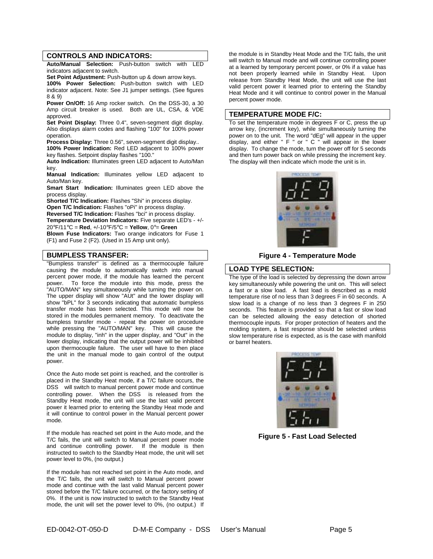#### **CONTROLS AND INDICATORS:**

**Auto/Manual Selection:** Push-button switch with LED indicators adjacent to switch.

**Set Point Adjustment:** Push-button up & down arrow keys.

**100% Power Selection:** Push-button switch with LED indicator adjacent. Note: See J1 jumper settings. (See figures 8 & 9)

**Power On/Off:** 16 Amp rocker switch. On the DSS-30, a 30 Amp circuit breaker is used. Both are UL, CSA, & VDE approved.

**Set Point Display:** Three 0.4", seven-segment digit display. Also displays alarm codes and flashing "100" for 100% power operation.

**Process Display:** Three 0.56", seven-segment digit display.. **100% Power Indication:** Red LED adjacent to 100% power

key flashes. Setpoint display flashes "100."

**Auto Indication:** Illuminates green LED adjacent to Auto/Man key.

**Manual Indication:** Illuminates yellow LED adjacent to Auto/Man key.

Smart Start<sup>®</sup> Indication: Illuminates green LED above the process display.

**Shorted T/C Indication:** Flashes "Shi" in process display. **Open T/C Indication:** Flashes "oPi" in process display.

**Reversed T/C Indication:** Flashes "bci" in process display. **Temperature Deviation Indicators:** Five separate LED's - +/- 20°F/11°C = **Red**, +/-10°F/5°C = **Yellow**, 0°= **Green**

**Blown Fuse Indicators:** Two orange indicators for Fuse 1 (F1) and Fuse 2 (F2). (Used in 15 Amp unit only).

#### **BUMPLESS TRANSFER:**

"Bumpless transfer" is defined as a thermocouple failure causing the module to automatically switch into manual percent power mode, if the module has learned the percent power. To force the module into this mode, press the To force the module into this mode, press the "AUTO/MAN" key simultaneously while turning the power on. The upper display will show "AUt" and the lower display will show "bPL" for 3 seconds indicating that automatic bumpless transfer mode has been selected. This mode will now be stored in the modules permanent memory. To deactivate the bumpless transfer mode - repeat the power on procedure while pressing the "AUTO/MAN" key. This will cause the module to display, "inh" in the upper display, and "Out" in the lower display, indicating that the output power will be inhibited upon thermocouple failure. The user will have to then place the unit in the manual mode to gain control of the output power.

Once the Auto mode set point is reached, and the controller is placed in the Standby Heat mode, if a T/C failure occurs, the DSS™ will switch to manual percent power mode and continue controlling power. When the DSS™ is released from the Standby Heat mode, the unit will use the last valid percent power it learned prior to entering the Standby Heat mode and it will continue to control power in the Manual percent power mode.

If the module has reached set point in the Auto mode, and the T/C fails, the unit will switch to Manual percent power mode and continue controlling power. If the module is then instructed to switch to the Standby Heat mode, the unit will set power level to 0%, (no output.)

If the module has not reached set point in the Auto mode, and the T/C fails, the unit will switch to Manual percent power mode and continue with the last valid Manual percent power stored before the T/C failure occurred, or the factory setting of 0%. If the unit is now instructed to switch to the Standby Heat mode, the unit will set the power level to 0%, (no output.) If

the module is in Standby Heat Mode and the T/C fails, the unit will switch to Manual mode and will continue controlling power at a learned by temporary percent power, or 0% if a value has not been properly learned while in Standby Heat. Upon release from Standby Heat Mode, the unit will use the last valid percent power it learned prior to entering the Standby Heat Mode and it will continue to control power in the Manual percent power mode.

#### **TEMPERATURE MODE F/C:**

To set the temperature mode in degrees F or C, press the up arrow key, (increment key), while simultaneously turning the power on to the unit. The word "dEg" will appear in the upper display, and either " F " or " C " will appear in the lower display. To change the mode, turn the power off for 5 seconds and then turn power back on while pressing the increment key. The display will then indicate which mode the unit is in.



**Figure 4 - Temperature Mode** 

#### **LOAD TYPE SELECTION:**

The type of the load is selected by depressing the down arrow key simultaneously while powering the unit on. This will select a fast or a slow load. A fast load is described as a mold temperature rise of no less than 3 degrees F in 60 seconds. A slow load is a change of no less than 3 degrees F in 250 seconds. This feature is provided so that a fast or slow load can be selected allowing the easy detection of shorted thermocouple inputs. For proper protection of heaters and the molding system, a fast response should be selected unless slow temperature rise is expected, as is the case with manifold or barrel heaters.



**Figure 5 - Fast Load Selected**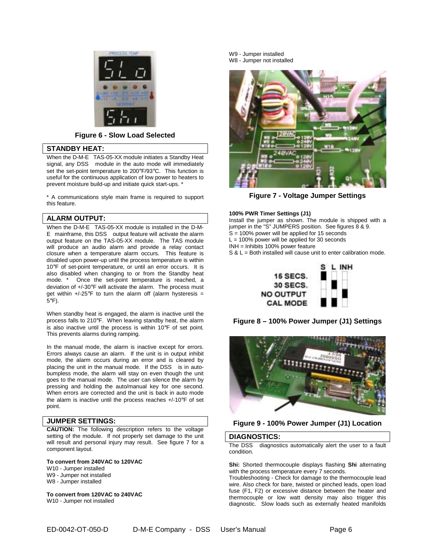

#### **Figure 6 - Slow Load Selected**

#### **STANDBY HEAT:**

When the  $D$ -M-E<sup>®</sup> TAS-05-XX module initiates a Standby Heat signal, any DSS™ module in the auto mode will immediately set the set-point temperature to 200°F/93°C. This function is useful for the continuous application of low power to heaters to prevent moisture build-up and initiate quick start-ups. \*

\* A communications style main frame is required to support this feature.

#### **ALARM OUTPUT:**

When the D-M- $E^{\circledast}$  TAS-05-XX module is installed in the D-M- $E^{\circledast}$  mainframe, this DSS™ output feature will activate the alarm output feature on the TAS-05-XX module. The TAS module will produce an audio alarm and provide a relay contact closure when a temperature alarm occurs. This feature is disabled upon power-up until the process temperature is within 10°F of set-point temperature, or until an error occurs. It is also disabled when changing to or from the Standby heat mode. \* Once the set-point temperature is reached, a deviation of +/-30°F will activate the alarm. The process must get within  $+/-25^{\circ}F$  to turn the alarm off (alarm hysteresis = 5°F).

When standby heat is engaged, the alarm is inactive until the process falls to 210°F. When leaving standby heat, the alarm is also inactive until the process is within 10°F of set point. This prevents alarms during ramping.

In the manual mode, the alarm is inactive except for errors. Errors always cause an alarm. If the unit is in output inhibit mode, the alarm occurs during an error and is cleared by placing the unit in the manual mode. If the DSS™ is in autobumpless mode, the alarm will stay on even though the unit goes to the manual mode. The user can silence the alarm by pressing and holding the auto/manual key for one second. When errors are corrected and the unit is back in auto mode the alarm is inactive until the process reaches +/-10°F of set point.

### **JUMPER SETTINGS:**

**CAUTION:** The following description refers to the voltage setting of the module. If not properly set damage to the unit will result and personal injury may result. See figure 7 for a component layout.

**To convert from 240VAC to 120VAC**  W10 - Jumper installed W9 - Jumper not installed W8 - Jumper installed

**To convert from 120VAC to 240VAC**  W10 - Jumper not installed

W9 - Jumper installed W8 - Jumper not installed



**Figure 7 - Voltage Jumper Settings**

#### **100% PWR Timer Settings (J1)**

Install the jumper as shown. The module is shipped with a jumper in the "S" JUMPERS position. See figures 8 & 9.  $S = 100\%$  power will be applied for 15 seconds  $L = 100\%$  power will be applied for 30 seconds

INH = Inhibits 100% power feature

S & L = Both installed will cause unit to enter calibration mode.



**Figure 8 – 100% Power Jumper (J1) Settings**



#### **Figure 9 - 100% Power Jumper (J1) Location**

#### **DIAGNOSTICS:**

The DSS<sup>TM</sup> diagnostics automatically alert the user to a fault condition.

**Shi:** Shorted thermocouple displays flashing **Shi** alternating with the process temperature every 7 seconds.

Troubleshooting - Check for damage to the thermocouple lead wire. Also check for bare, twisted or pinched leads, open load fuse (F1, F2) or excessive distance between the heater and thermocouple or low watt density may also trigger this diagnostic. Slow loads such as externally heated manifolds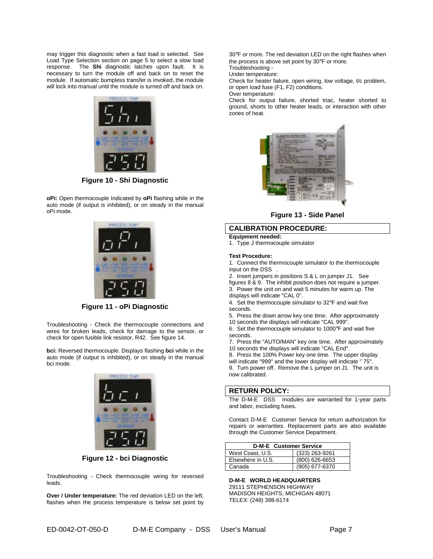may trigger this diagnostic when a fast load is selected. See Load Type Selection section on page 5 to select a slow load response. The **Shi** diagnostic latches upon fault. It is necessary to turn the module off and back on to reset the module. If automatic bumpless transfer is invoked, the module will lock into manual until the module is turned off and back on.



**Figure 10 - Shi Diagnostic**

**oPi:** Open thermocouple Indicated by **oPi** flashing while in the auto mode (if output is inhibited), or on steady in the manual oPi mode.



**Figure 11 - oPi Diagnostic**

Troubleshooting - Check the thermocouple connections and wires for broken leads, check for damage to the sensor, or check for open fusible link resistor, R42. See figure 14.

**bci:** Reversed thermocouple. Displays flashing **bci** while in the auto mode (if output is inhibited), or on steady in the manual bci mode.



**Figure 12 - bci Diagnostic** 

Troubleshooting - Check thermocouple wiring for reversed leads.

**Over / Under temperature:** The red deviation LED on the left, flashes when the process temperature is below set point by 30°F or more. The red deviation LED on the right flashes when the process is above set point by 30°F or more. Troubleshooting -

Under temperature:

Check for heater failure, open wiring, low voltage, t/c problem, or open load fuse (F1, F2) conditions.

Over temperature:

Check for output failure, shorted triac, heater shorted to ground, shorts to other heater leads, or interaction with other zones of heat.



**Figure 13 - Side Panel**

## **CALIBRATION PROCEDURE:**

**Equipment needed:** 

1. Type J thermocouple simulator

#### **Test Procedure:**

1. Connect the thermocouple simulator to the thermocouple input on the DSS™.

2. Insert jumpers in positions S & L on jumper J1. See

figures 8 & 9. The inhibit position does not require a jumper. 3. Power the unit on and wait 5 minutes for warm up. The displays will indicate "CAL 0".

4. Set the thermocouple simulator to 32°F and wait five seconds.

5. Press the down arrow key one time. After approximately

10 seconds the displays will indicate "CAL 999".

6. Set the thermocouple simulator to 1000°F and wait five seconds.

7. Press the "AUTO/MAN" key one time. After approximately 10 seconds the displays will indicate "CAL End".

8. Press the 100% Power key one time. The upper display will indicate "999" and the lower display will indicate " 75".

9. Turn power off. Remove the L jumper on J1. The unit is now calibrated.

#### **RETURN POLICY:**

The D-M-E<sup>®</sup> DSS<sup>™</sup> modules are warranted for 1-year parts and labor, excluding fuses.

Contact D-M-E<sup>®</sup> Customer Service for return authorization for repairs or warranties. Replacement parts are also available through the Customer Service Department.

| D-M-E <sup>®</sup> Customer Service |                  |  |  |  |
|-------------------------------------|------------------|--|--|--|
| West Coast, U.S.                    | (323) 263-9261   |  |  |  |
| Elsewhere in U.S.                   | $(800)$ 626-6653 |  |  |  |
| Canada                              | (905) 677-6370   |  |  |  |

**D-M-E WORLD HEADQUARTERS**  29111 STEPHENSON HIGHWAY MADISON HEIGHTS, MICHIGAN 48071 TELEX: (248) 398-6174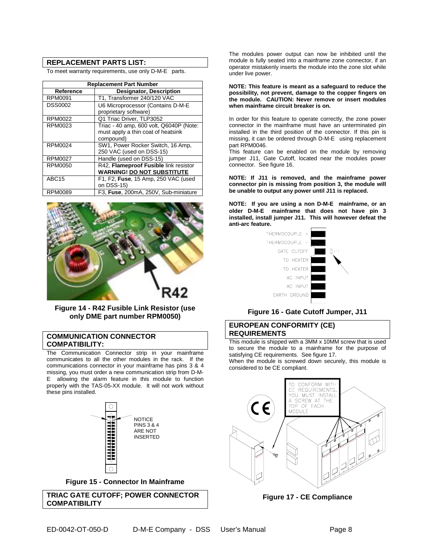## **REPLACEMENT PARTS LIST:**

To meet warranty requirements, use only  $D$ -M- $E^{\circledast}$  parts.

| <b>Replacement Part Number</b> |                                                                                            |  |  |  |
|--------------------------------|--------------------------------------------------------------------------------------------|--|--|--|
| Reference                      | <b>Designator, Description</b>                                                             |  |  |  |
| <b>RPM0091</b>                 | T1, Transformer 240/120 VAC                                                                |  |  |  |
| <b>DSS0002</b>                 | U6 Microprocessor (Contains D-M-E®<br>proprietary software)                                |  |  |  |
| <b>RPM0022</b>                 | Q1 Triac Driver, TLP3052                                                                   |  |  |  |
| RPM0023                        | Triac - 40 amp, 600 volt, Q6040P (Note:<br>must apply a thin coat of heatsink<br>compound) |  |  |  |
| RPM0024                        | SW1, Power Rocker Switch, 16 Amp,<br>250 VAC (used on DSS-15)                              |  |  |  |
| <b>RPM0027</b>                 | Handle (used on DSS-15)                                                                    |  |  |  |
| RPM0050                        | R42, Flameproof Fusible link resistor<br><b>WARNING! DO NOT SUBSTITUTE</b>                 |  |  |  |
| ABC <sub>15</sub>              | F1, F2, Fuse, 15 Amp, 250 VAC (used<br>on DSS-15)                                          |  |  |  |
| <b>RPM0089</b>                 | F3, Fuse, 200mA, 250V, Sub-miniature                                                       |  |  |  |



**Figure 14 - R42 Fusible Link Resistor (use only DME part number RPM0050)**

## **COMMUNICATION CONNECTOR COMPATIBILITY:**

The Communication Connector strip in your mainframe communicates to all the other modules in the rack. If the communications connector in your mainframe has pins 3 & 4 missing, you must order a new communication strip from D-M- $E^{\circledast}$  allowing the alarm feature in this module to function properly with the TAS-05-XX module. It will not work without these pins installed.



**Figure 15 - Connector In Mainframe**

**TRIAC GATE CUTOFF; POWER CONNECTOR COMPATIBILITY** 

The modules power output can now be inhibited until the module is fully seated into a mainframe zone connector, if an operator mistakenly inserts the module into the zone slot while under live power.

#### **NOTE: This feature is meant as a safeguard to reduce the possibility, not prevent, damage to the copper fingers on the module. CAUTION: Never remove or insert modules when mainframe circuit breaker is on.**

In order for this feature to operate correctly, the zone power connector in the mainframe must have an unterminated pin installed in the third position of the connector. If this pin is missing, it can be ordered through  $D$ -M-E<sup>®</sup> using replacement part RPM0046.

This feature can be enabled on the module by removing jumper J11, Gate Cutoff, located near the modules power connector. See figure 16.

**NOTE: If J11 is removed, and the mainframe power connector pin is missing from position 3, the module will be unable to output any power until J11 is replaced.** 

**NOTE: If you are using a non D-M-E mainframe, or an older D-M-E mainframe that does not have pin 3 installed, install jumper J11. This will however defeat the anti-arc feature.** 



#### **Figure 16 - Gate Cutoff Jumper, J11**

### **EUROPEAN CONFORMITY (CE) REQUIREMENTS**

This module is shipped with a 3MM x 10MM screw that is used to secure the module to a mainframe for the purpose of satisfying CE requirements. See figure 17.

When the module is screwed down securely, this module is considered to be CE compliant.



**Figure 17 - CE Compliance**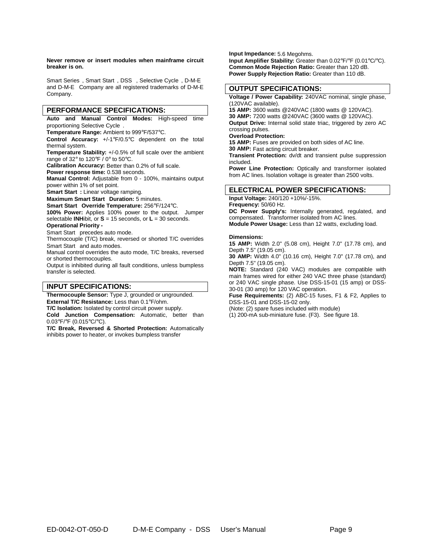Smart Series<sup>®</sup>, Smart Start<sup>®</sup>, DSS™, Selective Cycle<sup>®</sup>, D-M-E<sup>®</sup> and  $D$ -M- $E^{\circledast}$  Company are all registered trademarks of  $D$ -M-E Company.

#### **PERFORMANCE SPECIFICATIONS:**

**Auto and Manual Control Modes:** High-speed time proportioning Selective Cycle<sup>®</sup>.

**Temperature Range:** Ambient to 999°F/537°C.

**Control Accuracy:** +/-1°F/0.5°C dependent on the total thermal system.

**Temperature Stability:** +/-0.5% of full scale over the ambient range of 32° to 120°F / 0° to 50°C.

**Calibration Accuracy:** Better than 0.2% of full scale.

**Power response time:** 0.538 seconds.

**Manual Control:** Adjustable from 0 - 100%, maintains output power within 1% of set point.

**Smart Start:** Linear voltage ramping.

**Maximum Smart Start Duration:** 5 minutes.

**Smart Start Override Temperature:** 256°F/124°C.

**100% Power:** Applies 100% power to the output. Jumper selectable **INH**ibit, or **S** = 15 seconds, or **L** = 30 seconds.

#### **Operational Priority -**

Smart Start<sup>®</sup> precedes auto mode.

Thermocouple (T/C) break, reversed or shorted T/C overrides Smart Start<sup>®</sup> and auto modes.

Manual control overrides the auto mode, T/C breaks, reversed or shorted thermocouples.

Output is inhibited during all fault conditions, unless bumpless transfer is selected.

#### **INPUT SPECIFICATIONS:**

**Thermocouple Sensor:** Type J, grounded or ungrounded. **External T/C Resistance:** Less than 0.1°F/ohm.

**T/C Isolation:** Isolated by control circuit power supply.

**Cold Junction Compensation:** Automatic, better than 0.03°F/°F (0.015°C/°C).

**T/C Break, Reversed & Shorted Protection:** Automatically inhibits power to heater, or invokes bumpless transfer

**Input Impedance:** 5.6 Megohms. **Input Amplifier Stability:** Greater than 0.02°F/°F (0.01°C/°C). **Common Mode Rejection Ratio:** Greater than 120 dB. **Power Supply Rejection Ratio:** Greater than 110 dB.

#### **OUTPUT SPECIFICATIONS:**

**Voltage / Power Capability:** 240VAC nominal, single phase, (120VAC available).

**15 AMP:** 3600 watts @240VAC (1800 watts @ 120VAC). **30 AMP:** 7200 watts @240VAC (3600 watts @ 120VAC). **Output Drive:** Internal solid state triac, triggered by zero AC

#### crossing pulses. **Overload Protection:**

**15 AMP:** Fuses are provided on both sides of AC line.

**30 AMP:** Fast acting circuit breaker.

**Transient Protection:** dv/dt and transient pulse suppression included.

**Power Line Protection:** Optically and transformer isolated from AC lines. Isolation voltage is greater than 2500 volts.

## **ELECTRICAL POWER SPECIFICATIONS:**

**Input Voltage:** 240/120 +10%/-15%. **Frequency:** 50/60 Hz. **DC Power Supply's:** Internally generated, regulated, and compensated. Transformer isolated from AC lines. **Module Power Usage:** Less than 12 watts, excluding load.

#### **Dimensions:**

**15 AMP:** Width 2.0" (5.08 cm), Height 7.0" (17.78 cm), and Depth 7.5" (19.05 cm).

**30 AMP:** Width 4.0" (10.16 cm), Height 7.0" (17.78 cm), and Depth 7.5" (19.05 cm).

**NOTE:** Standard (240 VAC) modules are compatible with main frames wired for either 240 VAC three phase (standard) or 240 VAC single phase. Use DSS-15-01 (15 amp) or DSS-30-01 (30 amp) for 120 VAC operation.

**Fuse Requirements:** (2) ABC-15 fuses, F1 & F2, Applies to DSS-15-01 and DSS-15-02 only.

(Note: (2) spare fuses included with module)

(1) 200-mA sub-miniature fuse. (F3). See figure 18.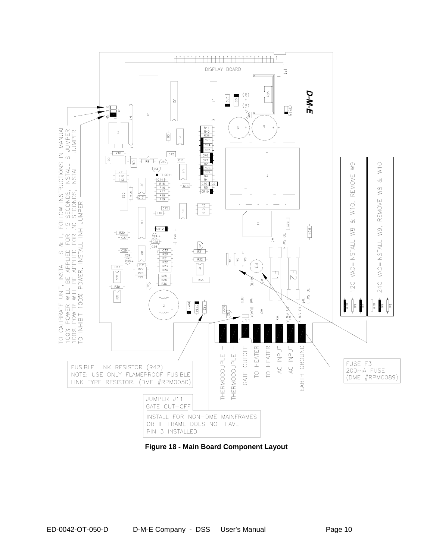

**Figure 18 - Main Board Component Layout**